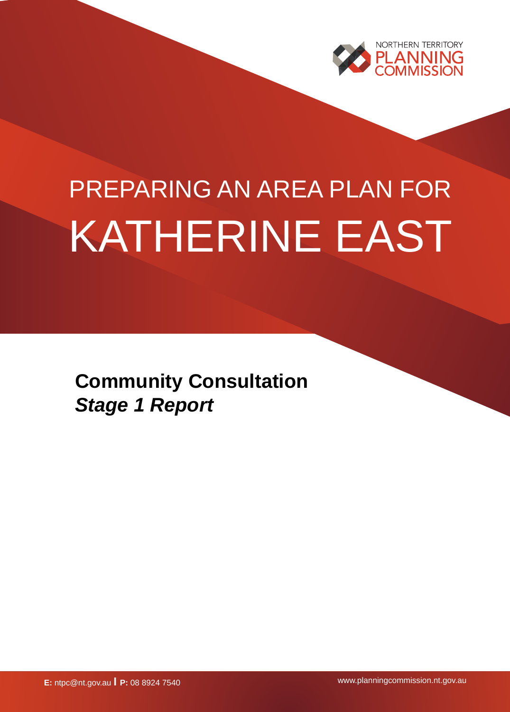

# PREPARING AN AREA PLAN FOR KATHERINE EAST

**Community Consultation** *Stage 1 Report*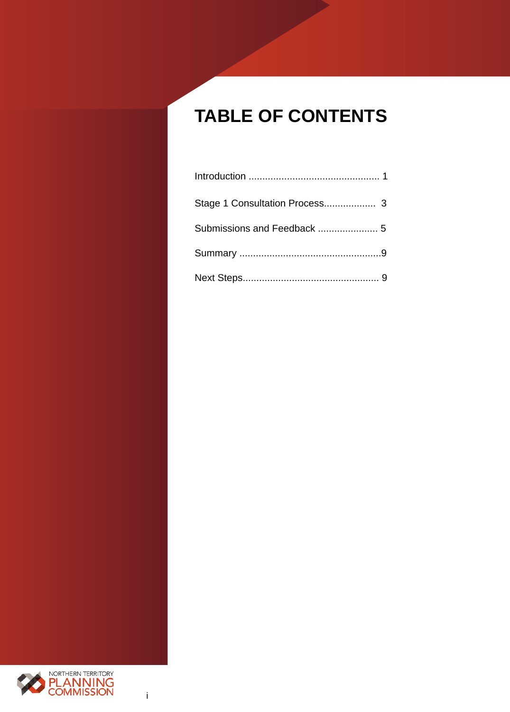# **TABLE OF CONTENTS**

| Stage 1 Consultation Process 3 |  |
|--------------------------------|--|
|                                |  |
|                                |  |
|                                |  |

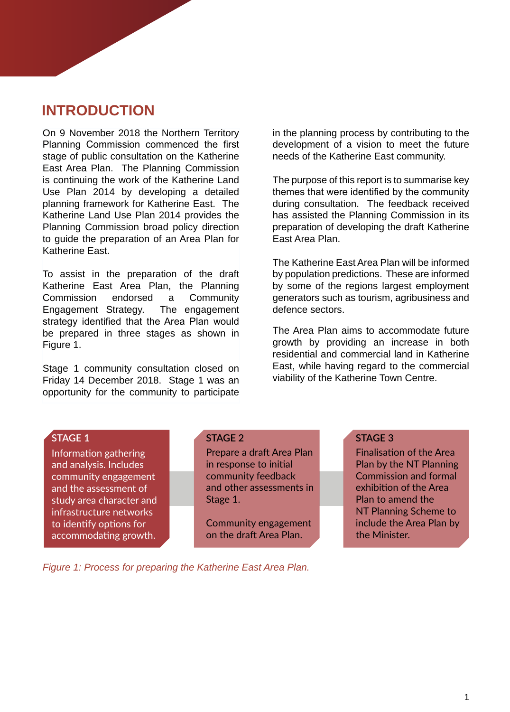# **INTRODUCTION**

On 9 November 2018 the Northern Territory Planning Commission commenced the first stage of public consultation on the Katherine East Area Plan. The Planning Commission is continuing the work of the Katherine Land Use Plan 2014 by developing a detailed planning framework for Katherine East. The Katherine Land Use Plan 2014 provides the Planning Commission broad policy direction to guide the preparation of an Area Plan for Katherine East.

To assist in the preparation of the draft Katherine East Area Plan, the Planning Commission endorsed a Community Engagement Strategy. The engagement strategy identified that the Area Plan would be prepared in three stages as shown in Figure 1.

Stage 1 community consultation closed on Friday 14 December 2018. Stage 1 was an opportunity for the community to participate in the planning process by contributing to the development of a vision to meet the future needs of the Katherine East community.

The purpose of this report is to summarise key themes that were identified by the community during consultation. The feedback received has assisted the Planning Commission in its preparation of developing the draft Katherine East Area Plan.

The Katherine East Area Plan will be informed by population predictions. These are informed by some of the regions largest employment generators such as tourism, agribusiness and defence sectors.

The Area Plan aims to accommodate future growth by providing an increase in both residential and commercial land in Katherine East, while having regard to the commercial viability of the Katherine Town Centre.

#### **STAGE 1**

Information gathering and analysis. Includes community engagement and the assessment of study area character and infrastructure networks to identify options for accommodating growth.

#### **STAGE 2**

Prepare a draft Area Plan in response to initial community feedback and other assessments in Stage 1.

Community engagement on the draft Area Plan.

#### **STAGE 3**

Finalisation of the Area Plan by the NT Planning Commission and formal exhibition of the Area Plan to amend the NT Planning Scheme to include the Area Plan by the Minister.

*Figure 1: Process for preparing the Katherine East Area Plan.*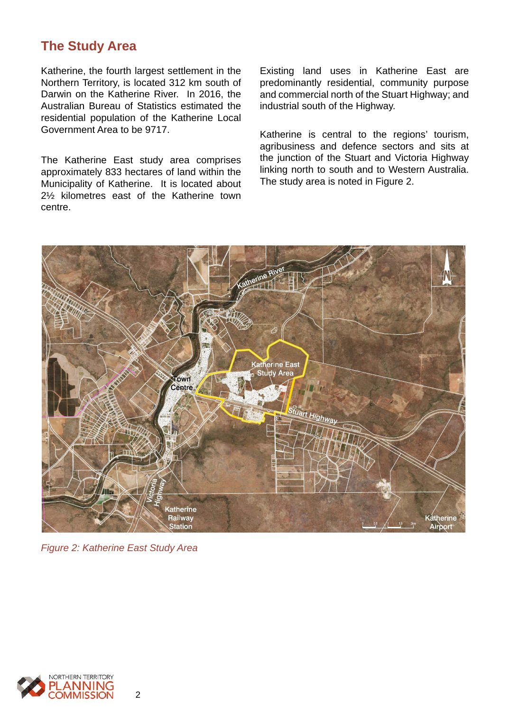## **The Study Area**

Katherine, the fourth largest settlement in the Northern Territory, is located 312 km south of Darwin on the Katherine River. In 2016, the Australian Bureau of Statistics estimated the residential population of the Katherine Local Government Area to be 9717.

The Katherine East study area comprises approximately 833 hectares of land within the Municipality of Katherine. It is located about 2½ kilometres east of the Katherine town centre.

Existing land uses in Katherine East are predominantly residential, community purpose and commercial north of the Stuart Highway; and industrial south of the Highway.

Katherine is central to the regions' tourism, agribusiness and defence sectors and sits at the junction of the Stuart and Victoria Highway linking north to south and to Western Australia. The study area is noted in Figure 2.



*Figure 2: Katherine East Study Area*

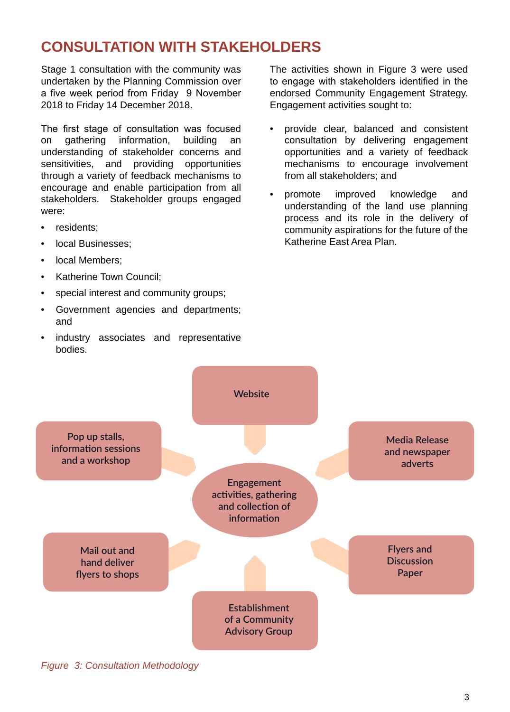# **CONSULTATION WITH STAKEHOLDERS**

Stage 1 consultation with the community was undertaken by the Planning Commission over a five week period from Friday 9 November 2018 to Friday 14 December 2018.

The first stage of consultation was focused on gathering information, building understanding of stakeholder concerns and sensitivities, and providing opportunities through a variety of feedback mechanisms to encourage and enable participation from all stakeholders. Stakeholder groups engaged were:

- residents:
- local Businesses;
- local Members;
- Katherine Town Council;
- special interest and community groups;
- Government agencies and departments; and
- industry associates and representative bodies.

The activities shown in Figure 3 were used to engage with stakeholders identified in the endorsed Community Engagement Strategy. Engagement activities sought to:

- provide clear, balanced and consistent consultation by delivering engagement opportunities and a variety of feedback mechanisms to encourage involvement from all stakeholders; and
- promote improved knowledge and understanding of the land use planning process and its role in the delivery of community aspirations for the future of the Katherine East Area Plan.



*Figure 3: Consultation Methodology*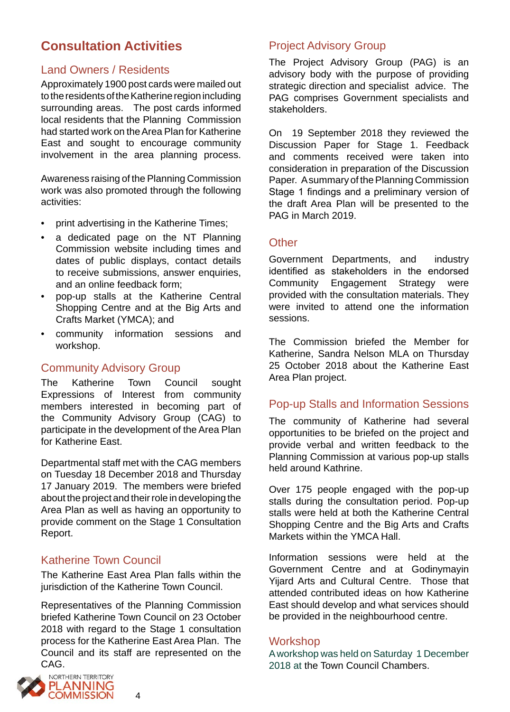# **Consultation Activities**

## Land Owners / Residents

Approximately 1900 post cards were mailed out to the residents of the Katherine region including surrounding areas. The post cards informed local residents that the Planning Commission had started work on the Area Plan for Katherine East and sought to encourage community involvement in the area planning process.

Awareness raising of the Planning Commission work was also promoted through the following activities:

- print advertising in the Katherine Times;
- a dedicated page on the NT Planning Commission website including times and dates of public displays, contact details to receive submissions, answer enquiries, and an online feedback form;
- pop-up stalls at the Katherine Central Shopping Centre and at the Big Arts and Crafts Market (YMCA); and
- community information sessions and workshop.

## Community Advisory Group

The Katherine Town Council sought Expressions of Interest from community members interested in becoming part of the Community Advisory Group (CAG) to participate in the development of the Area Plan for Katherine East.

Departmental staff met with the CAG members on Tuesday 18 December 2018 and Thursday 17 January 2019. The members were briefed about the project and their role in developing the Area Plan as well as having an opportunity to provide comment on the Stage 1 Consultation Report.

## Katherine Town Council

The Katherine East Area Plan falls within the jurisdiction of the Katherine Town Council.

Representatives of the Planning Commission briefed Katherine Town Council on 23 October 2018 with regard to the Stage 1 consultation process for the Katherine East Area Plan. The Council and its staff are represented on the CAG.



## Project Advisory Group

The Project Advisory Group (PAG) is an advisory body with the purpose of providing strategic direction and specialist advice. The PAG comprises Government specialists and stakeholders.

On 19 September 2018 they reviewed the Discussion Paper for Stage 1. Feedback and comments received were taken into consideration in preparation of the Discussion Paper. A summary of the Planning Commission Stage 1 findings and a preliminary version of the draft Area Plan will be presented to the PAG in March 2019.

## **Other**

Government Departments, and industry identified as stakeholders in the endorsed Community Engagement Strategy were provided with the consultation materials. They were invited to attend one the information sessions.

The Commission briefed the Member for Katherine, Sandra Nelson MLA on Thursday 25 October 2018 about the Katherine East Area Plan project.

## Pop-up Stalls and Information Sessions

The community of Katherine had several opportunities to be briefed on the project and provide verbal and written feedback to the Planning Commission at various pop-up stalls held around Kathrine.

Over 175 people engaged with the pop-up stalls during the consultation period. Pop-up stalls were held at both the Katherine Central Shopping Centre and the Big Arts and Crafts Markets within the YMCA Hall.

Information sessions were held at the Government Centre and at Godinymayin Yijard Arts and Cultural Centre. Those that attended contributed ideas on how Katherine East should develop and what services should be provided in the neighbourhood centre.

## **Workshop**

A workshop was held on Saturday 1 December 2018 at the Town Council Chambers.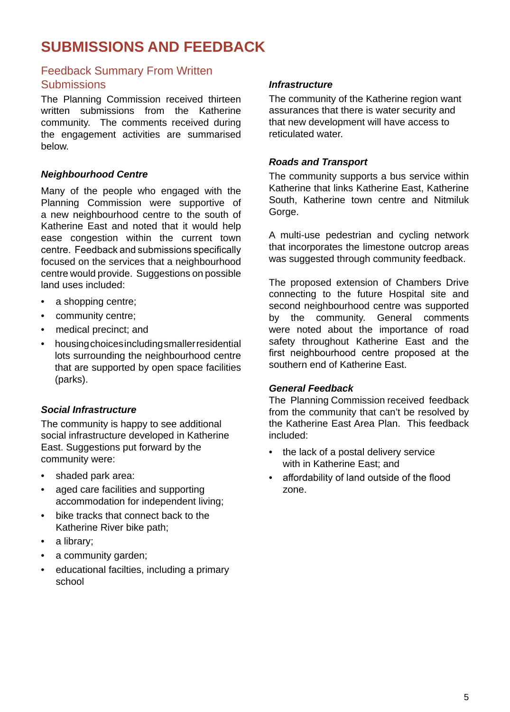# **SUBMISSIONS AND FEEDBACK**

## Feedback Summary From Written **Submissions**

The Planning Commission received thirteen written submissions from the Katherine community. The comments received during the engagement activities are summarised below.

## *Neighbourhood Centre*

Many of the people who engaged with the Planning Commission were supportive of a new neighbourhood centre to the south of Katherine East and noted that it would help ease congestion within the current town centre. Feedback and submissions specifically focused on the services that a neighbourhood centre would provide. Suggestions on possible land uses included:

- a shopping centre;
- community centre;
- medical precinct; and
- housing choices including smaller residential lots surrounding the neighbourhood centre that are supported by open space facilities (parks).

## *Social Infrastructure*

The community is happy to see additional social infrastructure developed in Katherine East. Suggestions put forward by the community were:

- shaded park area:
- aged care facilities and supporting accommodation for independent living;
- bike tracks that connect back to the Katherine River bike path;
- a library;
- a community garden;
- educational facilties, including a primary school

## *Infrastructure*

The community of the Katherine region want assurances that there is water security and that new development will have access to reticulated water.

## *Roads and Transport*

The community supports a bus service within Katherine that links Katherine East, Katherine South, Katherine town centre and Nitmiluk Gorge.

A multi-use pedestrian and cycling network that incorporates the limestone outcrop areas was suggested through community feedback.

The proposed extension of Chambers Drive connecting to the future Hospital site and second neighbourhood centre was supported by the community. General comments were noted about the importance of road safety throughout Katherine East and the first neighbourhood centre proposed at the southern end of Katherine East.

#### *General Feedback*

The Planning Commission received feedback from the community that can't be resolved by the Katherine East Area Plan. This feedback included:

- the lack of a postal delivery service with in Katherine East; and
- affordability of land outside of the flood zone.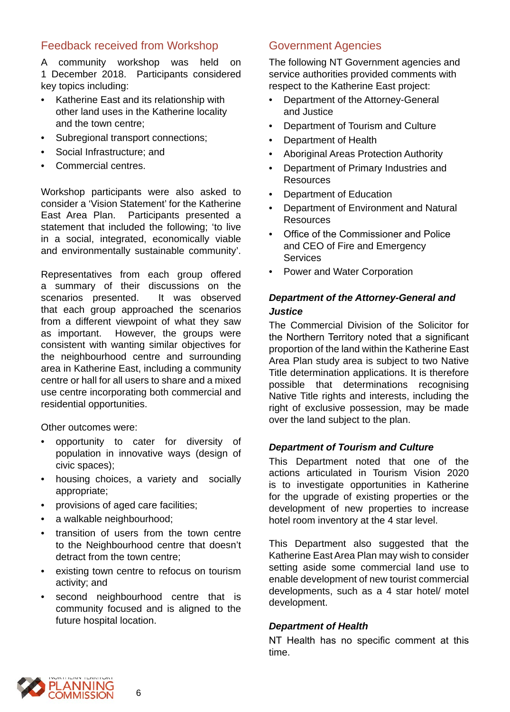## Feedback received from Workshop

A community workshop was held on 1 December 2018. Participants considered key topics including:

- Katherine East and its relationship with other land uses in the Katherine locality and the town centre;
- Subregional transport connections;
- Social Infrastructure: and
- Commercial centres.

Workshop participants were also asked to consider a 'Vision Statement' for the Katherine East Area Plan. Participants presented a statement that included the following; 'to live in a social, integrated, economically viable and environmentally sustainable community'.

Representatives from each group offered a summary of their discussions on the scenarios presented. It was observed that each group approached the scenarios from a different viewpoint of what they saw<br>as important. However, the groups were However, the groups were consistent with wanting similar objectives for the neighbourhood centre and surrounding area in Katherine East, including a community centre or hall for all users to share and a mixed use centre incorporating both commercial and residential opportunities.

Other outcomes were:

- opportunity to cater for diversity of population in innovative ways (design of civic spaces);
- housing choices, a variety and socially appropriate;
- provisions of aged care facilities;
- a walkable neighbourhood;
- transition of users from the town centre to the Neighbourhood centre that doesn't detract from the town centre;
- existing town centre to refocus on tourism activity; and
- second neighbourhood centre that is community focused and is aligned to the future hospital location.

## Government Agencies

The following NT Government agencies and service authorities provided comments with respect to the Katherine East project:

- Department of the Attorney-General and Justice
- Department of Tourism and Culture
- Department of Health
- Aboriginal Areas Protection Authority
- Department of Primary Industries and **Resources**
- Department of Education
- Department of Environment and Natural Resources
- Office of the Commissioner and Police and CEO of Fire and Emergency **Services**
- Power and Water Corporation

## *Department of the Attorney-General and Justice*

The Commercial Division of the Solicitor for the Northern Territory noted that a significant proportion of the land within the Katherine East Area Plan study area is subject to two Native Title determination applications. It is therefore possible that determinations recognising Native Title rights and interests, including the right of exclusive possession, may be made over the land subject to the plan.

## *Department of Tourism and Culture*

This Department noted that one of the actions articulated in Tourism Vision 2020 is to investigate opportunities in Katherine for the upgrade of existing properties or the development of new properties to increase hotel room inventory at the 4 star level.

This Department also suggested that the Katherine East Area Plan may wish to consider setting aside some commercial land use to enable development of new tourist commercial developments, such as a 4 star hotel/ motel development.

## *Department of Health*

NT Health has no specific comment at this time.

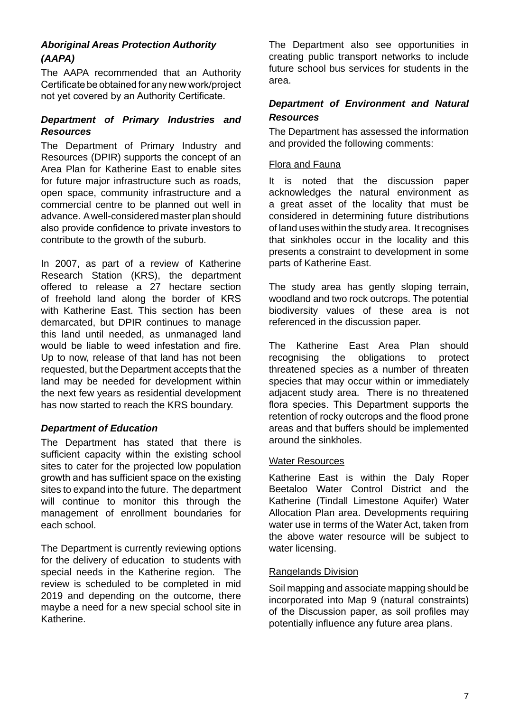## *Aboriginal Areas Protection Authority (AAPA)*

The AAPA recommended that an Authority Certificate be obtained for any new work/project not yet covered by an Authority Certificate.

## *Department of Primary Industries and Resources*

The Department of Primary Industry and Resources (DPIR) supports the concept of an Area Plan for Katherine East to enable sites for future major infrastructure such as roads, open space, community infrastructure and a commercial centre to be planned out well in advance. A well-considered master plan should also provide confidence to private investors to contribute to the growth of the suburb.

In 2007, as part of a review of Katherine Research Station (KRS), the department offered to release a 27 hectare section of freehold land along the border of KRS with Katherine East. This section has been demarcated, but DPIR continues to manage this land until needed, as unmanaged land would be liable to weed infestation and fire. Up to now, release of that land has not been requested, but the Department accepts that the land may be needed for development within the next few years as residential development has now started to reach the KRS boundary.

## *Department of Education*

The Department has stated that there is sufficient capacity within the existing school sites to cater for the projected low population growth and has sufficient space on the existing sites to expand into the future. The department will continue to monitor this through the management of enrollment boundaries for each school.

The Department is currently reviewing options for the delivery of education to students with special needs in the Katherine region. The review is scheduled to be completed in mid 2019 and depending on the outcome, there maybe a need for a new special school site in Katherine.

The Department also see opportunities in creating public transport networks to include future school bus services for students in the area.

## *Department of Environment and Natural Resources*

The Department has assessed the information and provided the following comments:

#### Flora and Fauna

It is noted that the discussion paper acknowledges the natural environment as a great asset of the locality that must be considered in determining future distributions of land uses within the study area. It recognises that sinkholes occur in the locality and this presents a constraint to development in some parts of Katherine East.

The study area has gently sloping terrain, woodland and two rock outcrops. The potential biodiversity values of these area is not referenced in the discussion paper.

The Katherine East Area Plan should recognising the obligations to protect threatened species as a number of threaten species that may occur within or immediately adjacent study area. There is no threatened flora species. This Department supports the retention of rocky outcrops and the flood prone areas and that buffers should be implemented around the sinkholes.

#### Water Resources

Katherine East is within the Daly Roper Beetaloo Water Control District and the Katherine (Tindall Limestone Aquifer) Water Allocation Plan area. Developments requiring water use in terms of the Water Act, taken from the above water resource will be subject to water licensing.

#### Rangelands Division

Soil mapping and associate mapping should be incorporated into Map 9 (natural constraints) of the Discussion paper, as soil profiles may potentially influence any future area plans.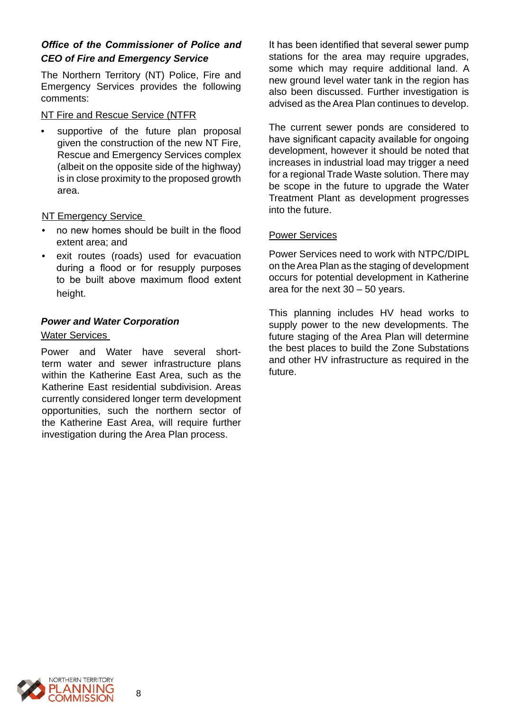## *Office of the Commissioner of Police and CEO of Fire and Emergency Service*

The Northern Territory (NT) Police, Fire and Emergency Services provides the following comments:

#### NT Fire and Rescue Service (NTFR

supportive of the future plan proposal given the construction of the new NT Fire, Rescue and Emergency Services complex (albeit on the opposite side of the highway) is in close proximity to the proposed growth area.

NT Emergency Service

- no new homes should be built in the flood extent area; and
- exit routes (roads) used for evacuation during a flood or for resupply purposes to be built above maximum flood extent height.

## *Power and Water Corporation*

## Water Services

Power and Water have several shortterm water and sewer infrastructure plans within the Katherine East Area, such as the Katherine East residential subdivision. Areas currently considered longer term development opportunities, such the northern sector of the Katherine East Area, will require further investigation during the Area Plan process.

It has been identified that several sewer pump stations for the area may require upgrades, some which may require additional land. A new ground level water tank in the region has also been discussed. Further investigation is advised as the Area Plan continues to develop.

The current sewer ponds are considered to have significant capacity available for ongoing development, however it should be noted that increases in industrial load may trigger a need for a regional Trade Waste solution. There may be scope in the future to upgrade the Water Treatment Plant as development progresses into the future.

## Power Services

Power Services need to work with NTPC/DIPL on the Area Plan as the staging of development occurs for potential development in Katherine area for the next 30 – 50 years.

This planning includes HV head works to supply power to the new developments. The future staging of the Area Plan will determine the best places to build the Zone Substations and other HV infrastructure as required in the future.

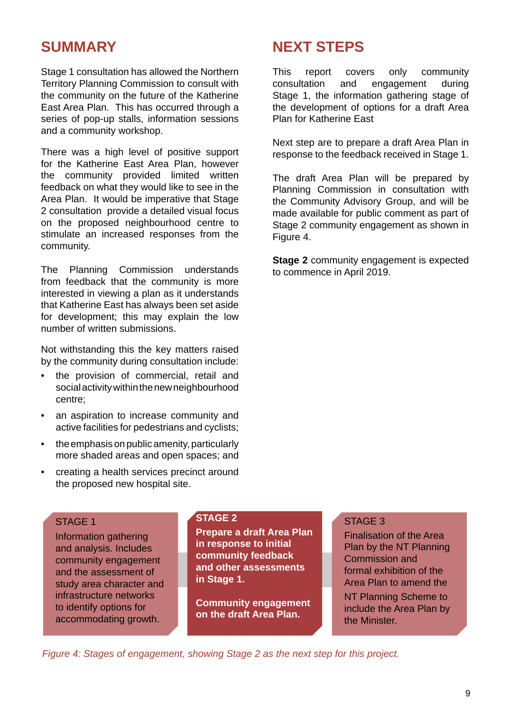# **SUMMARY**

Stage 1 consultation has allowed the Northern Territory Planning Commission to consult with the community on the future of the Katherine East Area Plan. This has occurred through a series of pop-up stalls, information sessions and a community workshop.

There was a high level of positive support for the Katherine East Area Plan, however the community provided limited written feedback on what they would like to see in the Area Plan. It would be imperative that Stage 2 consultation provide a detailed visual focus on the proposed neighbourhood centre to stimulate an increased responses from the community.

The Planning Commission understands from feedback that the community is more interested in viewing a plan as it understands that Katherine East has always been set aside for development; this may explain the low number of written submissions.

Not withstanding this the key matters raised by the community during consultation include:

- the provision of commercial, retail and social activity within the new neighbourhood centre;
- an aspiration to increase community and active facilities for pedestrians and cyclists;
- the emphasis on public amenity, particularly more shaded areas and open spaces; and
- creating a health services precinct around the proposed new hospital site.

# **NEXT STEPS**

This report covers only community consultation and engagement during Stage 1, the information gathering stage of the development of options for a draft Area Plan for Katherine East

Next step are to prepare a draft Area Plan in response to the feedback received in Stage 1.

The draft Area Plan will be prepared by Planning Commission in consultation with the Community Advisory Group, and will be made available for public comment as part of Stage 2 community engagement as shown in Figure 4.

**Stage 2** community engagement is expected to commence in April 2019.

## STAGE 1

Information gathering and analysis. Includes community engagement and the assessment of study area character and infrastructure networks to identify options for accommodating growth.

## **STAGE 2**

**Prepare a draft Area Plan in response to initial community feedback and other assessments in Stage 1.**

**Community engagement on the draft Area Plan.** 

## STAGE 3

Finalisation of the Area Plan by the NT Planning Commission and formal exhibition of the Area Plan to amend the

NT Planning Scheme to include the Area Plan by the Minister.

*Figure 4: Stages of engagement, showing Stage 2 as the next step for this project.*